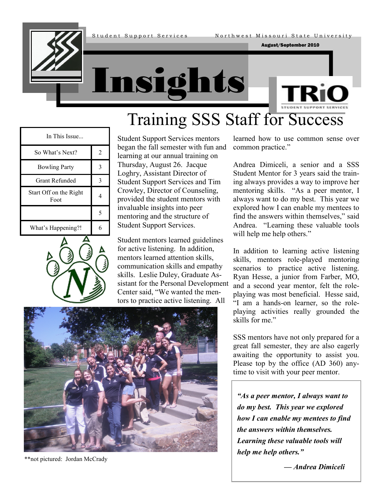August/September 2010







#### In This Issue... So What's Next? 2 Bowling Party 3 Grant Refunded 3 Start Off on the Right Foot  $\begin{array}{|c|c|} \hline 1 & 4 \\ \hline \end{array}$ 5 What's Happening?! 6



Student Support Services mentors began the fall semester with fun and learning at our annual training on Thursday, August 26. Jacque Loghry, Assistant Director of Student Support Services and Tim Crowley, Director of Counseling, provided the student mentors with invaluable insights into peer mentoring and the structure of Student Support Services.

Student mentors learned guidelines for active listening. In addition, mentors learned attention skills, communication skills and empathy skills. Leslie Duley, Graduate Assistant for the Personal Development Center said, "We wanted the mentors to practice active listening. All



\*\*not pictured: Jordan McCrady

learned how to use common sense over common practice."

Andrea Dimiceli, a senior and a SSS Student Mentor for 3 years said the training always provides a way to improve her mentoring skills. "As a peer mentor, I always want to do my best. This year we explored how I can enable my mentees to find the answers within themselves," said Andrea. "Learning these valuable tools will help me help others."

In addition to learning active listening skills, mentors role-played mentoring scenarios to practice active listening. Ryan Hesse, a junior from Farber, MO, and a second year mentor, felt the roleplaying was most beneficial. Hesse said, "I am a hands-on learner, so the roleplaying activities really grounded the skills for me."

SSS mentors have not only prepared for a great fall semester, they are also eagerly awaiting the opportunity to assist you. Please top by the office (AD 360) anytime to visit with your peer mentor.

*"As a peer mentor, I always want to do my best. This year we explored how I can enable my mentees to find the answers within themselves. Learning these valuable tools will help me help others."* 

*— Andrea Dimiceli*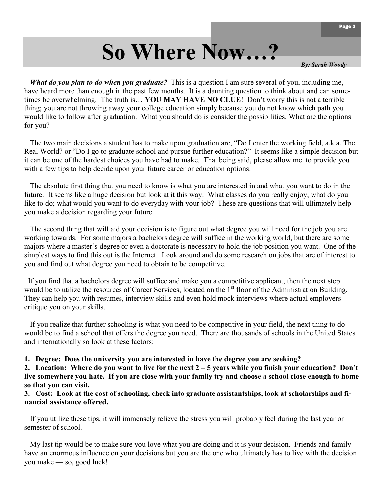## **So Where Now…?**

*By: Sarah Woody*

*What do you plan to do when you graduate?* This is a question I am sure several of you, including me, have heard more than enough in the past few months. It is a daunting question to think about and can sometimes be overwhelming. The truth is… **YOU MAY HAVE NO CLUE**! Don't worry this is not a terrible thing; you are not throwing away your college education simply because you do not know which path you would like to follow after graduation. What you should do is consider the possibilities. What are the options for you?

The two main decisions a student has to make upon graduation are, "Do I enter the working field, a.k.a. The Real World? or "Do I go to graduate school and pursue further education?" It seems like a simple decision but it can be one of the hardest choices you have had to make. That being said, please allow me to provide you with a few tips to help decide upon your future career or education options.

 The absolute first thing that you need to know is what you are interested in and what you want to do in the future. It seems like a huge decision but look at it this way: What classes do you really enjoy; what do you like to do; what would you want to do everyday with your job? These are questions that will ultimately help you make a decision regarding your future.

 The second thing that will aid your decision is to figure out what degree you will need for the job you are working towards. For some majors a bachelors degree will suffice in the working world, but there are some majors where a master's degree or even a doctorate is necessary to hold the job position you want. One of the simplest ways to find this out is the Internet. Look around and do some research on jobs that are of interest to you and find out what degree you need to obtain to be competitive.

 If you find that a bachelors degree will suffice and make you a competitive applicant, then the next step would be to utilize the resources of Career Services, located on the 1<sup>st</sup> floor of the Administration Building. They can help you with resumes, interview skills and even hold mock interviews where actual employers critique you on your skills.

 If you realize that further schooling is what you need to be competitive in your field, the next thing to do would be to find a school that offers the degree you need. There are thousands of schools in the United States and internationally so look at these factors:

**1. Degree: Does the university you are interested in have the degree you are seeking?**

**2. Location: Where do you want to live for the next 2 – 5 years while you finish your education? Don't live somewhere you hate. If you are close with your family try and choose a school close enough to home so that you can visit.**

**3. Cost: Look at the cost of schooling, check into graduate assistantships, look at scholarships and financial assistance offered.**

 If you utilize these tips, it will immensely relieve the stress you will probably feel during the last year or semester of school.

 My last tip would be to make sure you love what you are doing and it is your decision. Friends and family have an enormous influence on your decisions but you are the one who ultimately has to live with the decision you make — so, good luck!

Page 2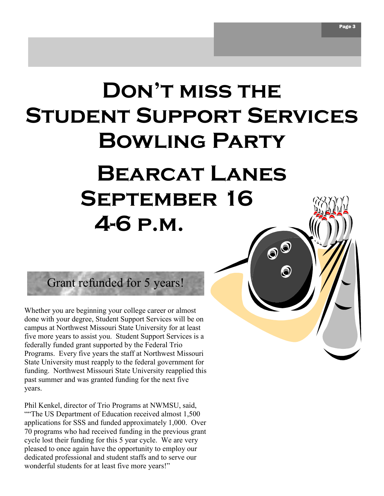# **Don't miss the Student Support Services Bowling Party Bearcat Lanes**

 $\mathbf{O}^{\bigcirc}$ 

**September 16**

# Grant refunded for 5 years!

**4-6 p.m.**

Whether you are beginning your college career or almost done with your degree, Student Support Services will be on campus at Northwest Missouri State University for at least five more years to assist you. Student Support Services is a federally funded grant supported by the Federal Trio Programs. Every five years the staff at Northwest Missouri State University must reapply to the federal government for funding. Northwest Missouri State University reapplied this past summer and was granted funding for the next five years.

Phil Kenkel, director of Trio Programs at NWMSU, said, ――The US Department of Education received almost 1,500 applications for SSS and funded approximately 1,000. Over 70 programs who had received funding in the previous grant cycle lost their funding for this 5 year cycle. We are very pleased to once again have the opportunity to employ our dedicated professional and student staffs and to serve our wonderful students for at least five more years!"

Page 3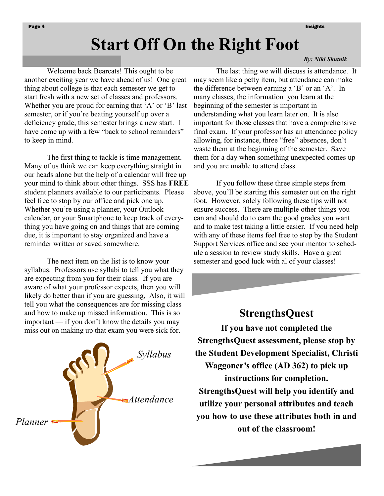### **Start Off On the Right Foot**

Welcome back Bearcats! This ought to be another exciting year we have ahead of us! One great thing about college is that each semester we get to start fresh with a new set of classes and professors. Whether you are proud for earning that  $A'$  or  $B'$  last semester, or if you're beating yourself up over a deficiency grade, this semester brings a new start. I have come up with a few "back to school reminders" to keep in mind.

The first thing to tackle is time management. Many of us think we can keep everything straight in our heads alone but the help of a calendar will free up your mind to think about other things. SSS has **FREE**  student planners available to our participants. Please feel free to stop by our office and pick one up. Whether you're using a planner, your Outlook calendar, or your Smartphone to keep track of everything you have going on and things that are coming due, it is important to stay organized and have a reminder written or saved somewhere.

The next item on the list is to know your syllabus. Professors use syllabi to tell you what they are expecting from you for their class. If you are aware of what your professor expects, then you will likely do better than if you are guessing, Also, it will tell you what the consequences are for missing class and how to make up missed information. This is so important — if you don't know the details you may miss out on making up that exam you were sick for.



#### *By: Niki Skutnik*

The last thing we will discuss is attendance. It may seem like a petty item, but attendance can make the difference between earning a  $B'$  or an  $A'$ . In many classes, the information you learn at the beginning of the semester is important in understanding what you learn later on. It is also important for those classes that have a comprehensive final exam. If your professor has an attendance policy allowing, for instance, three "free" absences, don't waste them at the beginning of the semester. Save them for a day when something unexpected comes up and you are unable to attend class.

If you follow these three simple steps from above, you'll be starting this semester out on the right foot. However, solely following these tips will not ensure success. There are multiple other things you can and should do to earn the good grades you want and to make test taking a little easier. If you need help with any of these items feel free to stop by the Student Support Services office and see your mentor to schedule a session to review study skills. Have a great semester and good luck with al of your classes!

#### **StrengthsQuest**

**If you have not completed the StrengthsQuest assessment, please stop by the Student Development Specialist, Christi Waggoner's office (AD 362) to pick up instructions for completion. StrengthsQuest will help you identify and utilize your personal attributes and teach you how to use these attributes both in and out of the classroom!**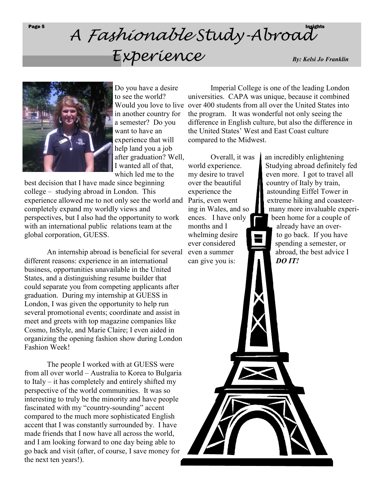## Page 5 A *Fashionable* Study-Abroad *Experience*

*By: Kelsi Jo Franklin*



Do you have a desire to see the world? Would you love to live in another country for a semester? Do you want to have an experience that will help land you a job after graduation? Well, I wanted all of that, which led me to the

best decision that I have made since beginning college – studying abroad in London. This experience allowed me to not only see the world and Paris, even went completely expand my worldly views and perspectives, but I also had the opportunity to work with an international public relations team at the global corporation, GUESS.

An internship abroad is beneficial for several different reasons: experience in an international business, opportunities unavailable in the United States, and a distinguishing resume builder that could separate you from competing applicants after graduation. During my internship at GUESS in London, I was given the opportunity to help run several promotional events; coordinate and assist in meet and greets with top magazine companies like Cosmo, InStyle, and Marie Claire; I even aided in organizing the opening fashion show during London Fashion Week!

The people I worked with at GUESS were from all over world – Australia to Korea to Bulgaria to Italy – it has completely and entirely shifted my perspective of the world communities. It was so interesting to truly be the minority and have people fascinated with my "country-sounding" accent compared to the much more sophisticated English accent that I was constantly surrounded by. I have made friends that I now have all across the world, and I am looking forward to one day being able to go back and visit (after, of course, I save money for the next ten years!).

Imperial College is one of the leading London universities. CAPA was unique, because it combined over 400 students from all over the United States into the program. It was wonderful not only seeing the difference in English culture, but also the difference in the United States' West and East Coast culture compared to the Midwest.

months and I already have an overcan give you is: *DO IT!* 

Overall, it was  $\parallel$  an incredibly enlightening world experience. Studying abroad definitely fed my desire to travel even more. I got to travel all over the beautiful country of Italy by train, experience the astounding Eiffel Tower in extreme hiking and coasteering in Wales, and so  $\Box$  many more invaluable experiences. I have only  $\Box$  been home for a couple of

whelming desire  $\Box$  to go back. If you have ever considered spending a semester, or even a summer abroad, the best advice I